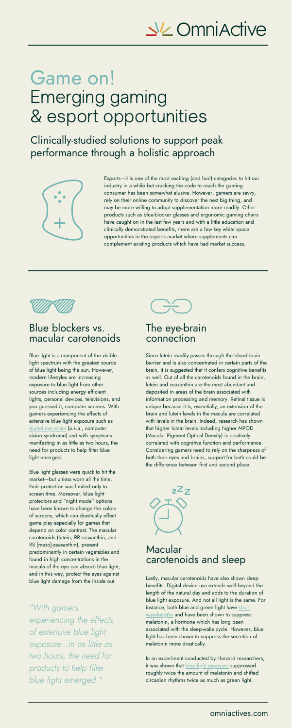Blue light is a component of the visible light spectrum with the greatest source of blue light being the sun. However, modern lifestyles are increasing exposure to blue light from other sources including energy efficient lights, personal devices, televisions, and you guessed it, computer screens. With gamers experiencing the effects of extensive blue light exposure such as <u>[digital](https://www.aoa.org/healthy-eyes/eye-and-vision-conditions/computer-vision-syndrome?sso=y) eye strain</u> (a.k.a., computer vision syndrome) and with symptoms manifesting in as little as two hours, the need for products to help filter blue light emerged.



Blue light glasses were quick to hit the market—but unless worn all the time, their protection was limited only to screen time. Moreover, blue light protectors and "night mode" options have been known to change the colors of screens, which can drastically effect game play especially for games that depend on color contrast. The macular carotenoids (lutein, RR-zeaxanthin, and RS [meso]-zeaxanthin), present predominantly in certain vegetables and found in high concentrations in the macula of the eye can absorb blue light, and in this way, protect the eyes against blue light damage from the inside out.

# $N$  Cmni $\land$  dive

# Game on! Emerging gaming & esport opportunities

Esports—it is one of the most exciting (and fun!) categories to hit our industry in a while but cracking the code to reach the gaming consumer has been somewhat elusive. However, gamers are savvy, rely on their online community to discover the next big thing, and may be more willing to adopt supplementation more readily. Other products such as blue-blocker glasses and ergonomic gaming chairs have caught on in the last few years and with a little education and clinically demonstrated benefits, there are a few key white space opportunities in the esports market where supplements can complement existing products which have had market success.



Since lutein readily passes through the blood-brain barrier and is also concentrated in certain parts of the brain, it is suggested that it confers cognitive benefits as well. Out of all the carotenoids found in the brain, lutein and zeaxanthin are the most abundant and deposited in areas of the brain associated with information processing and memory. Retinal tissue is unique because it is, essentially, an extension of the brain and lutein levels in the macula are correlated with levels in the brain. Indeed, research has shown that higher lutein levels including higher MPOD (Macular Pigment Optical Density) is positively correlated with cognitive function and performance. Considering gamers need to rely on the sharpness of both their eyes and brains, support for both could be the difference between first and second place.

Lastly, macular carotenoids have also shown sleep benefits. Digital device use extends well beyond the length of the natural day and adds to the duration of blue light exposure. And not all light is the same. For instance, both blue and green light have short [wavelengths](https://www.health.harvard.edu/staying-healthy/blue-light-has-a-dark-side) and have been shown to suppress melatonin, a hormone which has long been associated with the sleep-wake cycle. However, blue light has been shown to suppress the secretion of melatonin more drastically.

In an experiment conducted by Harvard researchers, it was shown that **blue light [exposure](https://www.ncbi.nlm.nih.gov/pmc/articles/PMC2831986/)** suppressed roughly twice the amount of melatonin and shifted circadian rhythms twice as much as green light.

#### Blue blockers vs. macular carotenoids

Clinically-studied solutions to support peak performance through a holistic approach



#### The eye-brain connection

#### Macular carotenoids and sleep

*"With gamers experiencing the effects of extensive blue light exposure...in as little as two hours, the need for products to help filter blue light emerged."*

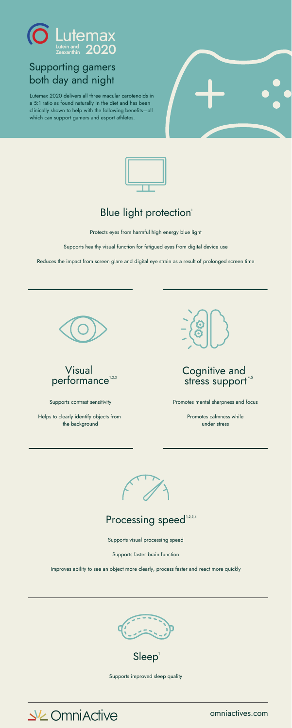Protects eyes from harmful high energy blue light

Supports healthy visual function for fatigued eyes from digital device use

Reduces the impact from screen glare and digital eye strain as a result of prolonged screen time



Supports contrast sensitivity

Helps to clearly identify objects from the background



Supports visual processing speed

Supports faster brain function

Improves ability to see an object more clearly, process faster and react more quickly





# Supporting gamers both day and night

Lutemax 2020 delivers all three macular carotenoids in a 5:1 ratio as found naturally in the diet and has been clinically shown to help with the following benefits—all which can support gamers and esport athletes.







Promotes mental sharpness and focus

Promotes calmness while under stress



# Processing speed<sup>1,2,3,4</sup>

# Blue light protection 1



Supports improved sleep quality



omniactives.com

Sleep 1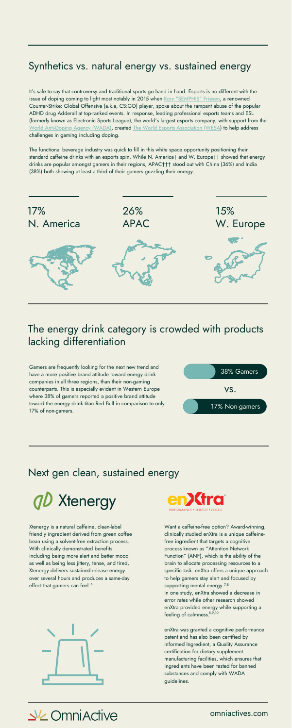It's safe to say that controversy and traditional sports go hand in hand. Esports is no different with the issue of doping coming to light most notably in 2015 when Kory ["SEMPHIS"](https://www.firstpost.com/sports/doping-in-esports-buck-stops-with-game-developers-to-ensure-adherence-to-anti-doping-practices-9116671.html#:~:text=In%202016%2C%20ESL%20tied%20up,bid%20to%20implement%20standardised%20regulations.) Friesen, a renowned Counter-Strike: Global Offensive (a.k.a, CS:GO) player, spoke about the rampant abuse of the popular ADHD drug Adderall at top-ranked events. In response, leading professional esports teams and [ESL](https://www.eslgaming.com/) (formerly known as Electronic Sports League), the world's largest esports company, with support from the World [Anti-Doping](https://www.wada-ama.org/) Agency (WADA), created The World Esports [Association](https://www.wesa.gg/) (WESA) to help address challenges in gaming including doping.

Xtenergy is a natural caffeine, clean-label friendly ingredient derived from green coffee bean using a solvent-free extraction process. With clinically demonstrated benefits including being more alert and better mood as well as being less jittery, tense, and tired, Xtenergy delivers sustained-release energy over several hours and produces a same-day effect that gamers can feel.<sup>6</sup>





The functional beverage industry was quick to fill in this white space opportunity positioning their standard caffeine drinks with an esports spin. While N. America† and W. Europe†† showed that energy drinks are popular amongst gamers in their regions, APAC††† stood out with China (36%) and India (38%) both showing at least a third of their gamers [guzzling](https://venturebeat.com/2020/05/28/newzoo-80-of-gamers-eat-or-drink-while-playing/) their energy.

omniactives.com

# The energy drink category is crowded with products lacking differentiation



Gamers are frequently looking for the next new trend and have a more positive brand [attitude](https://newzoo.com/insights/articles/gamer-food-and-drink-consumption-consumer-brands-consumer-insights/) toward energy drink companies in all three regions, than their non-gaming counterparts. This is especially evident in Western Europe where 38% of gamers reported a positive brand attitude toward the energy drink titan Red Bull in comparison to only 17% of non-gamers.

# Synthetics vs. natural energy vs. sustained energy



# Next gen clean, sustained energy



Want a caffeine-free option? Award-winning, clinically studied enXtra is a unique caffeinefree ingredient that targets a cognitive process known as "Attention Network Function" (ANF), which is the ability of the brain to allocate processing resources to a specific task. enXtra offers a unique approach to help gamers stay alert and focused by  $^6$  8  $^{\circ}$  7,8  $^{\circ}$  8  $^{\circ}$  8  $^{\circ}$  supporting mental energy.  $^{7,8}$ In one study, enXtra showed a decrease in error rates while other research showed enXtra provided energy while supporting a feeling of calmness. 8,9,10

> enXtra was granted a cognitive performance patent and has also been certified by Informed Ingredient, a Quality Assurance certification for dietary supplement manufacturing facilities, which ensures that ingredients have been tested for banned substances and comply with WADA guidelines.